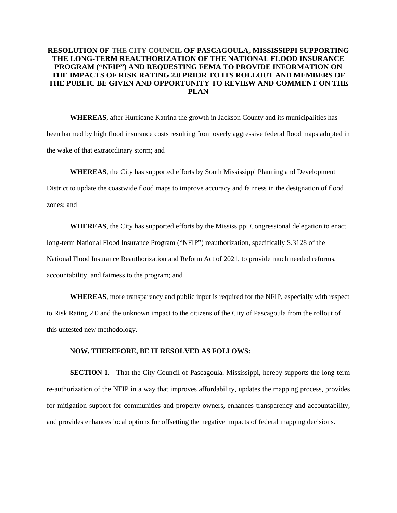## **RESOLUTION OF THE CITY COUNCIL OF PASCAGOULA,MISSISSIPPI SUPPORTING THE LONG-TERM REAUTHORIZATION OF THE NATIONAL FLOOD INSURANCE PROGRAM ("NFIP") AND REQUESTING FEMA TO PROVIDE INFORMATION ON THE IMPACTS OF RISK RATING 2.0 PRIOR TO ITS ROLLOUT AND MEMBERS OF THE PUBLIC BE GIVEN AND OPPORTUNITY TO REVIEW AND COMMENT ON THE PLAN**

**WHEREAS**, after Hurricane Katrina the growth in Jackson County and its municipalities has been harmed by high flood insurance costs resulting from overly aggressive federal flood maps adopted in the wake of that extraordinary storm; and

**WHEREAS**, the City has supported efforts by South Mississippi Planning and Development

District to update the coastwide flood maps to improve accuracy and fairness in the designation of flood zones; and

**WHEREAS**, the City has supported efforts by the Mississippi Congressional delegation to enact long-term National Flood Insurance Program ("NFIP") reauthorization, specifically S.3128 of the National Flood Insurance Reauthorization and Reform Act of 2021, to provide much needed reforms, accountability, and fairness to the program; and

**WHEREAS**, more transparency and public input is required for the NFIP, especially with respect to Risk Rating 2.0 and the unknown impact to the citizens of the City of Pascagoula from the rollout of this untested new methodology.

## **NOW, THEREFORE, BE IT RESOLVED AS FOLLOWS:**

**SECTION 1.** That the City Council of Pascagoula, Mississippi, hereby supports the long-term re-authorization of the NFIP in a way that improves affordability, updates the mapping process, provides for mitigation support for communities and property owners, enhances transparency and accountability, and provides enhances local options for offsetting the negative impacts of federal mapping decisions.